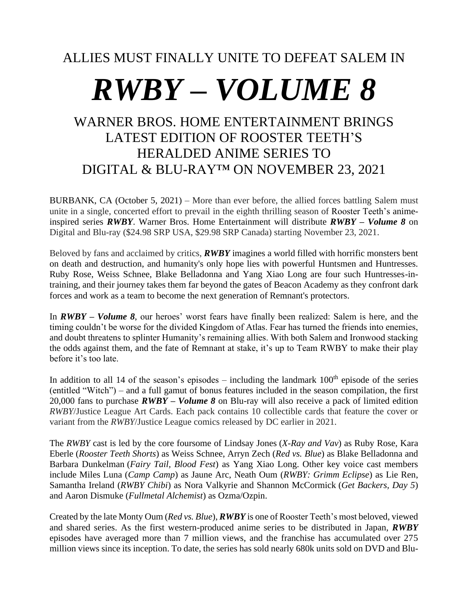# ALLIES MUST FINALLY UNITE TO DEFEAT SALEM IN

# *RWBY – VOLUME 8*

# WARNER BROS. HOME ENTERTAINMENT BRINGS LATEST EDITION OF ROOSTER TEETH'S HERALDED ANIME SERIES TO DIGITAL & BLU-RAY™ ON NOVEMBER 23, 2021

BURBANK, CA (October 5, 2021) – More than ever before, the allied forces battling Salem must unite in a single, concerted effort to prevail in the eighth thrilling season of Rooster Teeth's animeinspired series *RWBY*. Warner Bros. Home Entertainment will distribute *RWBY – Volume 8* on Digital and Blu-ray (\$24.98 SRP USA, \$29.98 SRP Canada) starting November 23, 2021.

Beloved by fans and acclaimed by critics, *RWBY* imagines a world filled with horrific monsters bent on death and destruction, and humanity's only hope lies with powerful Huntsmen and Huntresses. Ruby Rose, Weiss Schnee, Blake Belladonna and Yang Xiao Long are four such Huntresses-intraining, and their journey takes them far beyond the gates of Beacon Academy as they confront dark forces and work as a team to become the next generation of Remnant's protectors.

In *RWBY – Volume 8*, our heroes' worst fears have finally been realized: Salem is here, and the timing couldn't be worse for the divided Kingdom of Atlas. Fear has turned the friends into enemies, and doubt threatens to splinter Humanity's remaining allies. With both Salem and Ironwood stacking the odds against them, and the fate of Remnant at stake, it's up to Team RWBY to make their play before it's too late.

In addition to all 14 of the season's episodes – including the landmark  $100<sup>th</sup>$  episode of the series (entitled "Witch") – and a full gamut of bonus features included in the season compilation, the first 20,000 fans to purchase *RWBY – Volume 8* on Blu-ray will also receive a pack of limited edition *RWBY*/Justice League Art Cards. Each pack contains 10 collectible cards that feature the cover or variant from the *RWBY*/Justice League comics released by DC earlier in 2021.

The *RWBY* cast is led by the core foursome of Lindsay Jones (*X-Ray and Vav*) as Ruby Rose, Kara Eberle (*Rooster Teeth Shorts*) as Weiss Schnee, Arryn Zech (*Red vs. Blue*) as Blake Belladonna and Barbara Dunkelman (*Fairy Tail, Blood Fest*) as Yang Xiao Long. Other key voice cast members include Miles Luna (*Camp Camp*) as Jaune Arc, Neath Oum (*RWBY: Grimm Eclipse*) as Lie Ren, Samantha Ireland (*RWBY Chibi*) as Nora Valkyrie and Shannon McCormick (*Get Backers, Day 5*) and Aaron Dismuke (*Fullmetal Alchemist*) as Ozma/Ozpin.

Created by the late Monty Oum (*Red vs. Blue*), *RWBY* is one of Rooster Teeth's most beloved, viewed and shared series. As the first western-produced anime series to be distributed in Japan, *RWBY* episodes have averaged more than 7 million views, and the franchise has accumulated over 275 million views since its inception. To date, the series has sold nearly 680k units sold on DVD and Blu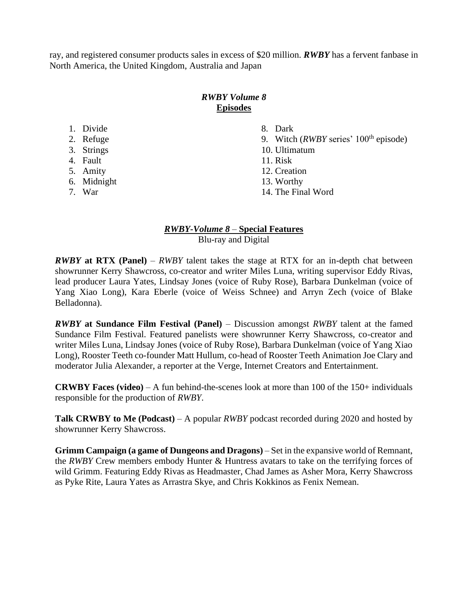ray, and registered consumer products sales in excess of \$20 million. *RWBY* has a fervent fanbase in North America, the United Kingdom, Australia and Japan

# *RWBY Volume 8* **Episodes**

| 1. Divide   | 8. Dark                                         |
|-------------|-------------------------------------------------|
| 2. Refuge   | 9. Witch ( <i>RWBY</i> series' $100th$ episode) |
| 3. Strings  | 10. Ultimatum                                   |
| 4. Fault    | 11. Risk                                        |
| 5. Amity    | 12. Creation                                    |
| 6. Midnight | 13. Worthy                                      |
| 7. War      | 14. The Final Word                              |

## *RWBY-Volume 8* – **Special Features** Blu-ray and Digital

*RWBY* **at RTX (Panel)** – *RWBY* talent takes the stage at RTX for an in-depth chat between showrunner Kerry Shawcross, co-creator and writer Miles Luna, writing supervisor Eddy Rivas, lead producer Laura Yates, Lindsay Jones (voice of Ruby Rose), Barbara Dunkelman (voice of Yang Xiao Long), Kara Eberle (voice of Weiss Schnee) and Arryn Zech (voice of Blake Belladonna).

*RWBY* **at Sundance Film Festival (Panel)** – Discussion amongst *RWBY* talent at the famed Sundance Film Festival. Featured panelists were showrunner Kerry Shawcross, co-creator and writer Miles Luna, Lindsay Jones (voice of Ruby Rose), Barbara Dunkelman (voice of Yang Xiao Long), Rooster Teeth co-founder Matt Hullum, co-head of Rooster Teeth Animation Joe Clary and moderator Julia Alexander, a reporter at the Verge, Internet Creators and Entertainment.

**CRWBY Faces (video)** – A fun behind-the-scenes look at more than 100 of the 150+ individuals responsible for the production of *RWBY*.

**Talk CRWBY to Me (Podcast)** – A popular *RWBY* podcast recorded during 2020 and hosted by showrunner Kerry Shawcross.

**Grimm Campaign (a game of Dungeons and Dragons)** – Set in the expansive world of Remnant, the *RWBY* Crew members embody Hunter & Huntress avatars to take on the terrifying forces of wild Grimm. Featuring Eddy Rivas as Headmaster, Chad James as Asher Mora, Kerry Shawcross as Pyke Rite, Laura Yates as Arrastra Skye, and Chris Kokkinos as Fenix Nemean.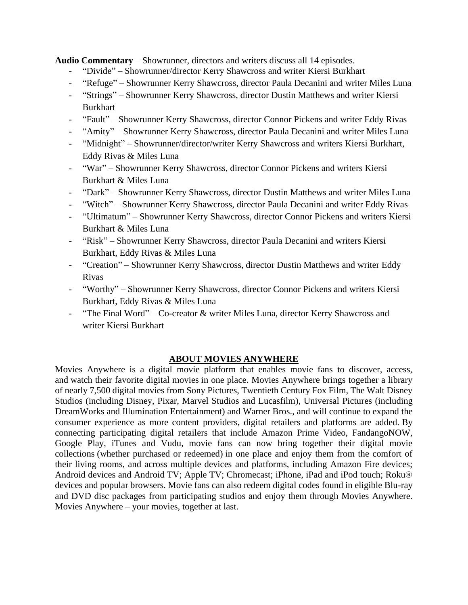**Audio Commentary** – Showrunner, directors and writers discuss all 14 episodes.

- "Divide" Showrunner/director Kerry Shawcross and writer Kiersi Burkhart
- "Refuge" Showrunner Kerry Shawcross, director Paula Decanini and writer Miles Luna
- "Strings" Showrunner Kerry Shawcross, director Dustin Matthews and writer Kiersi Burkhart
- "Fault" Showrunner Kerry Shawcross, director Connor Pickens and writer Eddy Rivas
- "Amity" Showrunner Kerry Shawcross, director Paula Decanini and writer Miles Luna
- "Midnight" Showrunner/director/writer Kerry Shawcross and writers Kiersi Burkhart, Eddy Rivas & Miles Luna
- "War" Showrunner Kerry Shawcross, director Connor Pickens and writers Kiersi Burkhart & Miles Luna
- "Dark" Showrunner Kerry Shawcross, director Dustin Matthews and writer Miles Luna
- "Witch" Showrunner Kerry Shawcross, director Paula Decanini and writer Eddy Rivas
- "Ultimatum" Showrunner Kerry Shawcross, director Connor Pickens and writers Kiersi Burkhart & Miles Luna
- "Risk" Showrunner Kerry Shawcross, director Paula Decanini and writers Kiersi Burkhart, Eddy Rivas & Miles Luna
- "Creation" Showrunner Kerry Shawcross, director Dustin Matthews and writer Eddy Rivas
- "Worthy" Showrunner Kerry Shawcross, director Connor Pickens and writers Kiersi Burkhart, Eddy Rivas & Miles Luna
- "The Final Word" Co-creator & writer Miles Luna, director Kerry Shawcross and writer Kiersi Burkhart

## **ABOUT MOVIES ANYWHERE**

Movies Anywhere is a digital movie platform that enables movie fans to discover, access, and watch their favorite digital movies in one place. Movies Anywhere brings together a library of nearly 7,500 digital movies from Sony Pictures, Twentieth Century Fox Film, The Walt Disney Studios (including Disney, Pixar, Marvel Studios and Lucasfilm), Universal Pictures (including DreamWorks and Illumination Entertainment) and Warner Bros., and will continue to expand the consumer experience as more content providers, digital retailers and platforms are added. By connecting participating digital retailers that include Amazon Prime Video, FandangoNOW, Google Play, iTunes and Vudu, movie fans can now bring together their digital movie collections (whether purchased or redeemed) in one place and enjoy them from the comfort of their living rooms, and across multiple devices and platforms, including Amazon Fire devices; Android devices and Android TV; Apple TV; Chromecast; iPhone, iPad and iPod touch; Roku® devices and popular browsers. Movie fans can also redeem digital codes found in eligible Blu-ray and DVD disc packages from participating studios and enjoy them through Movies Anywhere. Movies Anywhere – your movies, together at last.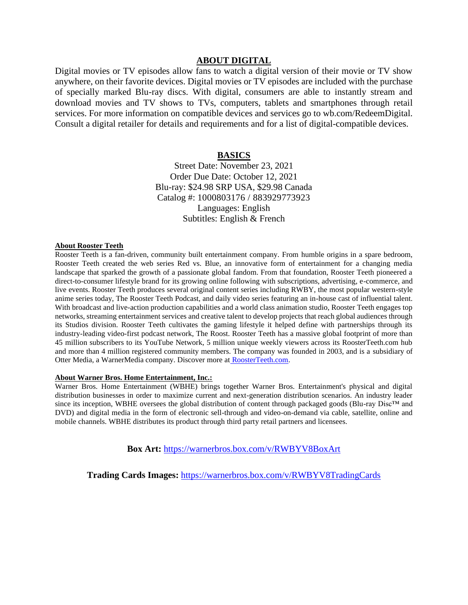#### **ABOUT DIGITAL**

Digital movies or TV episodes allow fans to watch a digital version of their movie or TV show anywhere, on their favorite devices. Digital movies or TV episodes are included with the purchase of specially marked Blu-ray discs. With digital, consumers are able to instantly stream and download movies and TV shows to TVs, computers, tablets and smartphones through retail services. For more information on compatible devices and services go to wb.com/RedeemDigital. Consult a digital retailer for details and requirements and for a list of digital-compatible devices.

#### **BASICS**

Street Date: November 23, 2021 Order Due Date: October 12, 2021 Blu-ray: \$24.98 SRP USA, \$29.98 Canada Catalog #: 1000803176 / 883929773923 Languages: English Subtitles: English & French

#### **About Rooster Teeth**

Rooster Teeth is a fan-driven, community built entertainment company. From humble origins in a spare bedroom, Rooster Teeth created the web series Red vs. Blue, an innovative form of entertainment for a changing media landscape that sparked the growth of a passionate global fandom. From that foundation, Rooster Teeth pioneered a direct-to-consumer lifestyle brand for its growing online following with subscriptions, advertising, e-commerce, and live events. Rooster Teeth produces several original content series including RWBY, the most popular western-style anime series today, The Rooster Teeth Podcast, and daily video series featuring an in-house cast of influential talent. With broadcast and live-action production capabilities and a world class animation studio, Rooster Teeth engages top networks, streaming entertainment services and creative talent to develop projects that reach global audiences through its Studios division. Rooster Teeth cultivates the gaming lifestyle it helped define with partnerships through its industry-leading video-first podcast network, The Roost. Rooster Teeth has a massive global footprint of more than 45 million subscribers to its YouTube Network, 5 million unique weekly viewers across its RoosterTeeth.com hub and more than 4 million registered community members. The company was founded in 2003, and is a subsidiary of Otter Media, a WarnerMedia company. Discover more at [RoosterTeeth.com.](http://roosterteeth.com/)

#### **About Warner Bros. Home Entertainment, Inc.:**

Warner Bros. Home Entertainment (WBHE) brings together Warner Bros. Entertainment's physical and digital distribution businesses in order to maximize current and next-generation distribution scenarios. An industry leader since its inception, WBHE oversees the global distribution of content through packaged goods (Blu-ray Disc™ and DVD) and digital media in the form of electronic sell-through and video-on-demand via cable, satellite, online and mobile channels. WBHE distributes its product through third party retail partners and licensees.

**Box Art:** <https://warnerbros.box.com/v/RWBYV8BoxArt>

**Trading Cards Images:** <https://warnerbros.box.com/v/RWBYV8TradingCards>